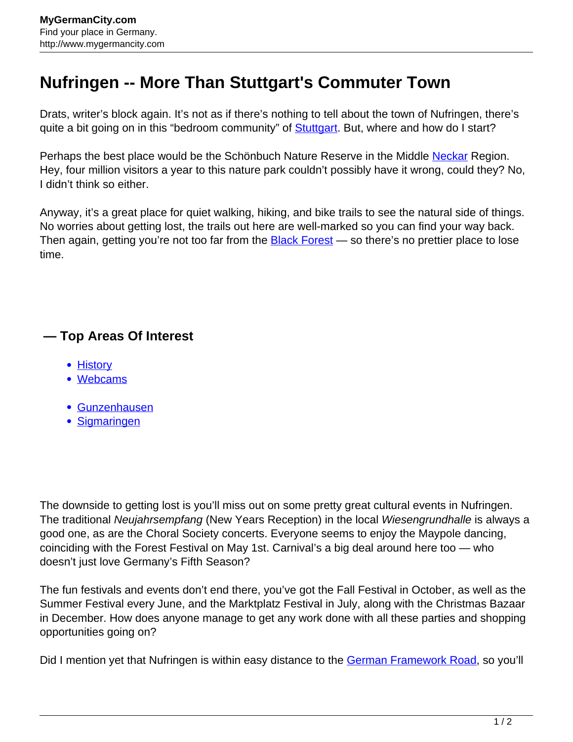## **Nufringen -- More Than Stuttgart's Commuter Town**

Drats, writer's block again. It's not as if there's nothing to tell about the town of Nufringen, there's quite a bit going on in this "bedroom community" of **Stuttgart**. But, where and how do I start?

Perhaps the best place would be the Schönbuch Nature Reserve in the Middle [Neckar](http://www.mygermancity.com/neckar) Region. Hey, four million visitors a year to this nature park couldn't possibly have it wrong, could they? No, I didn't think so either.

Anyway, it's a great place for quiet walking, hiking, and bike trails to see the natural side of things. No worries about getting lost, the trails out here are well-marked so you can find your way back. Then again, getting you're not too far from the **Black Forest** - so there's no prettier place to lose time.

## **— Top Areas Of Interest**

- **[History](http://www.mygermancity.com/leipzig-history)**
- [Webcams](http://www.mygermancity.com/neustadt-holstein-webcams)
- [Gunzenhausen](http://www.mygermancity.com/gunzenhausen)
- [Sigmaringen](http://www.mygermancity.com/sigmaringen)

The downside to getting lost is you'll miss out on some pretty great cultural events in Nufringen. The traditional Neujahrsempfang (New Years Reception) in the local Wiesengrundhalle is always a good one, as are the Choral Society concerts. Everyone seems to enjoy the Maypole dancing, coinciding with the Forest Festival on May 1st. Carnival's a big deal around here too — who doesn't just love Germany's Fifth Season?

The fun festivals and events don't end there, you've got the Fall Festival in October, as well as the Summer Festival every June, and the Marktplatz Festival in July, along with the Christmas Bazaar in December. How does anyone manage to get any work done with all these parties and shopping opportunities going on?

Did I mention yet that Nufringen is within easy distance to the [German Framework Road](http://www.mygermancity.com/german-framework-road), so you'll